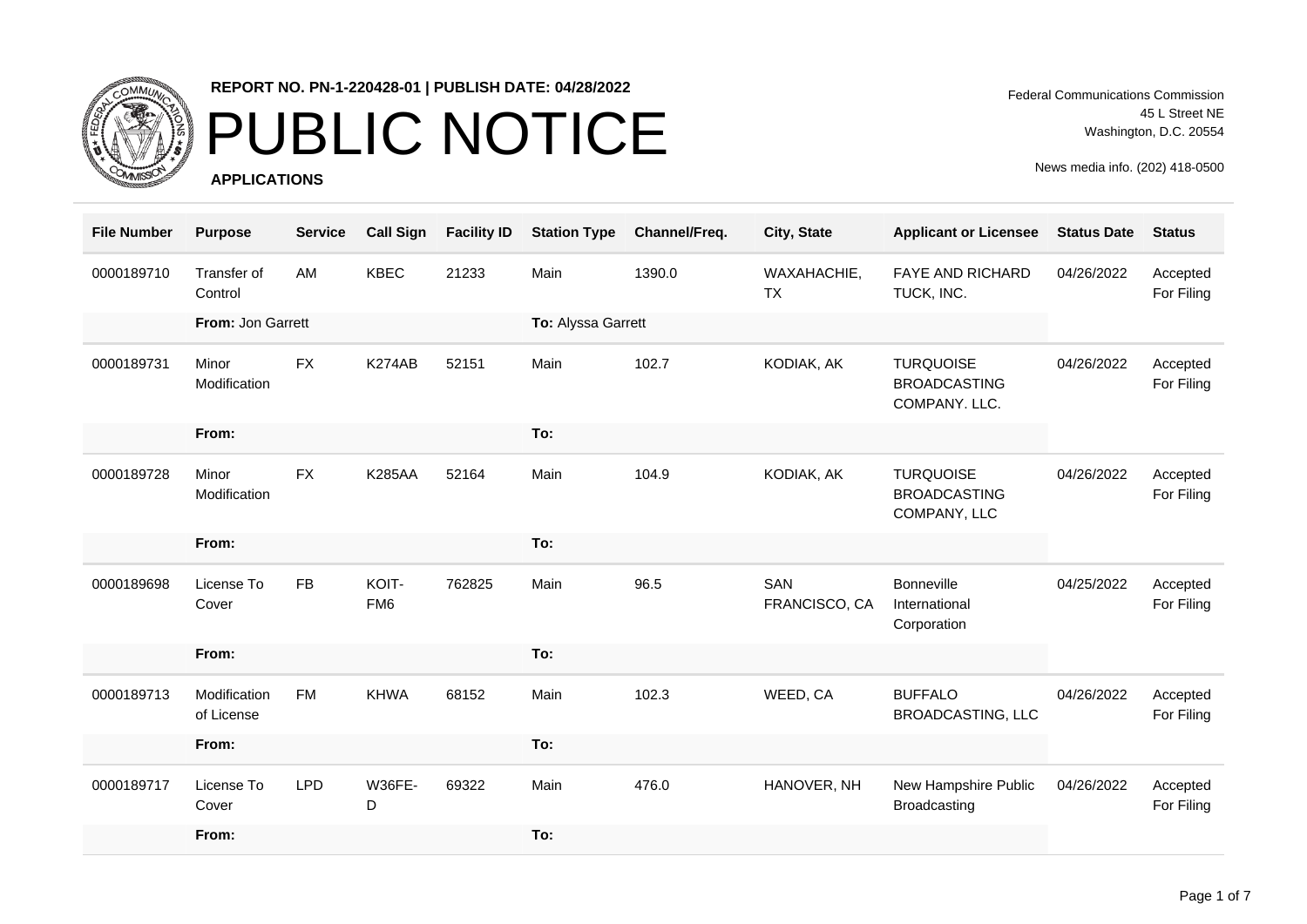

# PUBLIC NOTICE

**APPLICATIONS**

Federal Communications Commission 45 L Street NE Washington, D.C. 20554

| <b>File Number</b> | <b>Purpose</b>             | <b>Service</b> | <b>Call Sign</b>         | <b>Facility ID</b> | <b>Station Type</b> | Channel/Freq. | City, State              | <b>Applicant or Licensee</b>                             | <b>Status Date</b> | <b>Status</b>          |
|--------------------|----------------------------|----------------|--------------------------|--------------------|---------------------|---------------|--------------------------|----------------------------------------------------------|--------------------|------------------------|
| 0000189710         | Transfer of<br>Control     | AM             | <b>KBEC</b>              | 21233              | Main                | 1390.0        | WAXAHACHIE,<br><b>TX</b> | <b>FAYE AND RICHARD</b><br>TUCK, INC.                    | 04/26/2022         | Accepted<br>For Filing |
|                    | From: Jon Garrett          |                |                          |                    | To: Alyssa Garrett  |               |                          |                                                          |                    |                        |
| 0000189731         | Minor<br>Modification      | <b>FX</b>      | K274AB                   | 52151              | Main                | 102.7         | KODIAK, AK               | <b>TURQUOISE</b><br><b>BROADCASTING</b><br>COMPANY. LLC. | 04/26/2022         | Accepted<br>For Filing |
|                    | From:                      |                |                          |                    | To:                 |               |                          |                                                          |                    |                        |
| 0000189728         | Minor<br>Modification      | <b>FX</b>      | <b>K285AA</b>            | 52164              | Main                | 104.9         | KODIAK, AK               | <b>TURQUOISE</b><br><b>BROADCASTING</b><br>COMPANY, LLC  | 04/26/2022         | Accepted<br>For Filing |
|                    | From:                      |                |                          |                    | To:                 |               |                          |                                                          |                    |                        |
| 0000189698         | License To<br>Cover        | <b>FB</b>      | KOIT-<br>FM <sub>6</sub> | 762825             | Main                | 96.5          | SAN<br>FRANCISCO, CA     | <b>Bonneville</b><br>International<br>Corporation        | 04/25/2022         | Accepted<br>For Filing |
|                    | From:                      |                |                          |                    | To:                 |               |                          |                                                          |                    |                        |
| 0000189713         | Modification<br>of License | <b>FM</b>      | <b>KHWA</b>              | 68152              | Main                | 102.3         | WEED, CA                 | <b>BUFFALO</b><br><b>BROADCASTING, LLC</b>               | 04/26/2022         | Accepted<br>For Filing |
|                    | From:                      |                |                          |                    | To:                 |               |                          |                                                          |                    |                        |
| 0000189717         | License To<br>Cover        | <b>LPD</b>     | <b>W36FE-</b><br>D       | 69322              | Main                | 476.0         | HANOVER, NH              | New Hampshire Public<br>Broadcasting                     | 04/26/2022         | Accepted<br>For Filing |
|                    | From:                      |                |                          |                    | To:                 |               |                          |                                                          |                    |                        |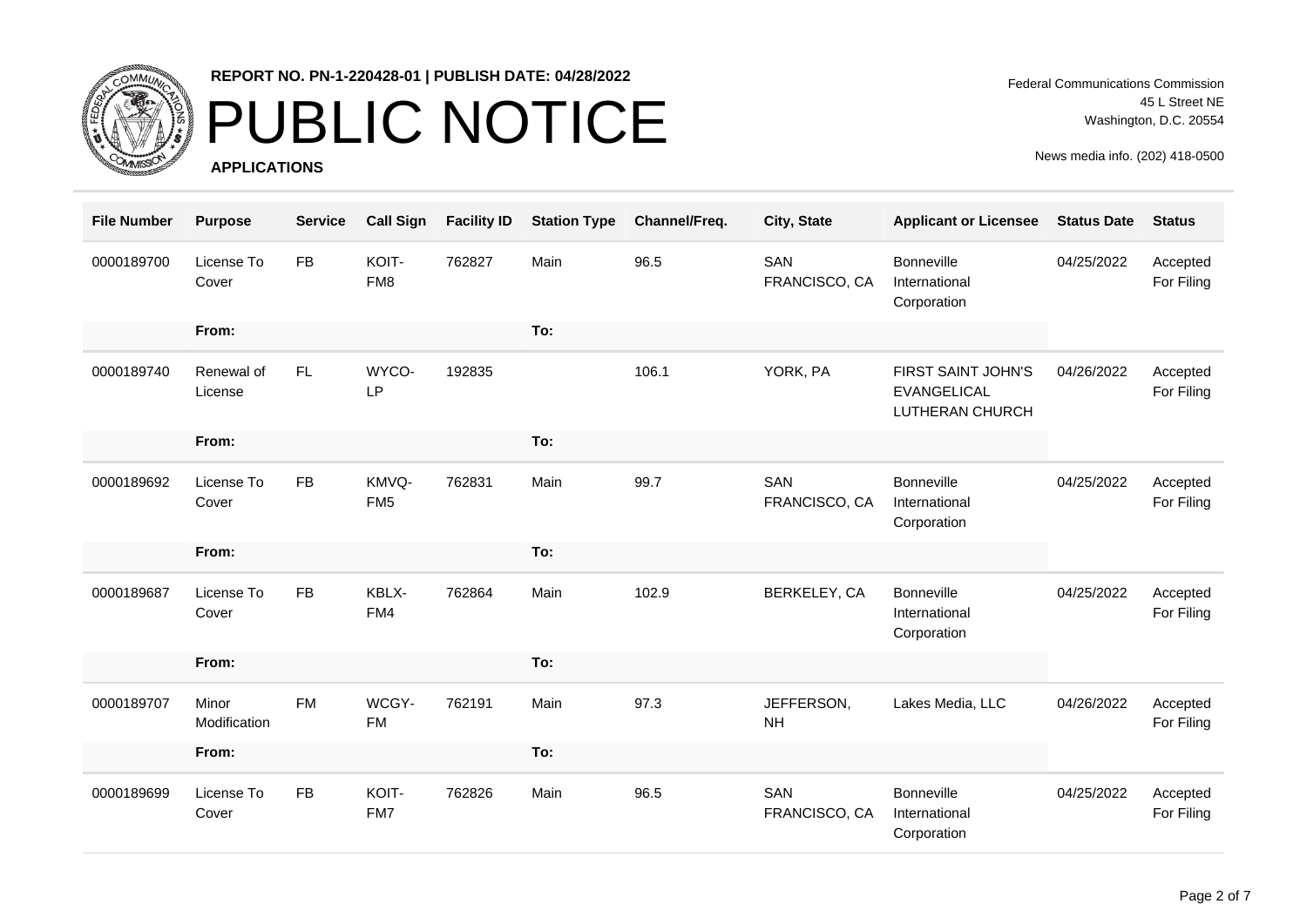

# PUBLIC NOTICE

**APPLICATIONS**

Federal Communications Commission 45 L Street NE Washington, D.C. 20554

| <b>File Number</b> | <b>Purpose</b>        | <b>Service</b> | <b>Call Sign</b>         | <b>Facility ID</b> | <b>Station Type</b> | Channel/Freq. | City, State             | <b>Applicant or Licensee</b>                                | <b>Status Date</b> | <b>Status</b>          |
|--------------------|-----------------------|----------------|--------------------------|--------------------|---------------------|---------------|-------------------------|-------------------------------------------------------------|--------------------|------------------------|
| 0000189700         | License To<br>Cover   | <b>FB</b>      | KOIT-<br>FM8             | 762827             | Main                | 96.5          | SAN<br>FRANCISCO, CA    | <b>Bonneville</b><br>International<br>Corporation           | 04/25/2022         | Accepted<br>For Filing |
|                    | From:                 |                |                          |                    | To:                 |               |                         |                                                             |                    |                        |
| 0000189740         | Renewal of<br>License | FL.            | WYCO-<br><b>LP</b>       | 192835             |                     | 106.1         | YORK, PA                | FIRST SAINT JOHN'S<br><b>EVANGELICAL</b><br>LUTHERAN CHURCH | 04/26/2022         | Accepted<br>For Filing |
|                    | From:                 |                |                          |                    | To:                 |               |                         |                                                             |                    |                        |
| 0000189692         | License To<br>Cover   | <b>FB</b>      | KMVQ-<br>FM <sub>5</sub> | 762831             | Main                | 99.7          | SAN<br>FRANCISCO, CA    | Bonneville<br>International<br>Corporation                  | 04/25/2022         | Accepted<br>For Filing |
|                    | From:                 |                |                          |                    | To:                 |               |                         |                                                             |                    |                        |
| 0000189687         | License To<br>Cover   | <b>FB</b>      | KBLX-<br>FM4             | 762864             | Main                | 102.9         | BERKELEY, CA            | <b>Bonneville</b><br>International<br>Corporation           | 04/25/2022         | Accepted<br>For Filing |
|                    | From:                 |                |                          |                    | To:                 |               |                         |                                                             |                    |                        |
| 0000189707         | Minor<br>Modification | <b>FM</b>      | WCGY-<br><b>FM</b>       | 762191             | Main                | 97.3          | JEFFERSON,<br><b>NH</b> | Lakes Media, LLC                                            | 04/26/2022         | Accepted<br>For Filing |
|                    | From:                 |                |                          |                    | To:                 |               |                         |                                                             |                    |                        |
| 0000189699         | License To<br>Cover   | <b>FB</b>      | KOIT-<br>FM7             | 762826             | Main                | 96.5          | SAN<br>FRANCISCO, CA    | <b>Bonneville</b><br>International<br>Corporation           | 04/25/2022         | Accepted<br>For Filing |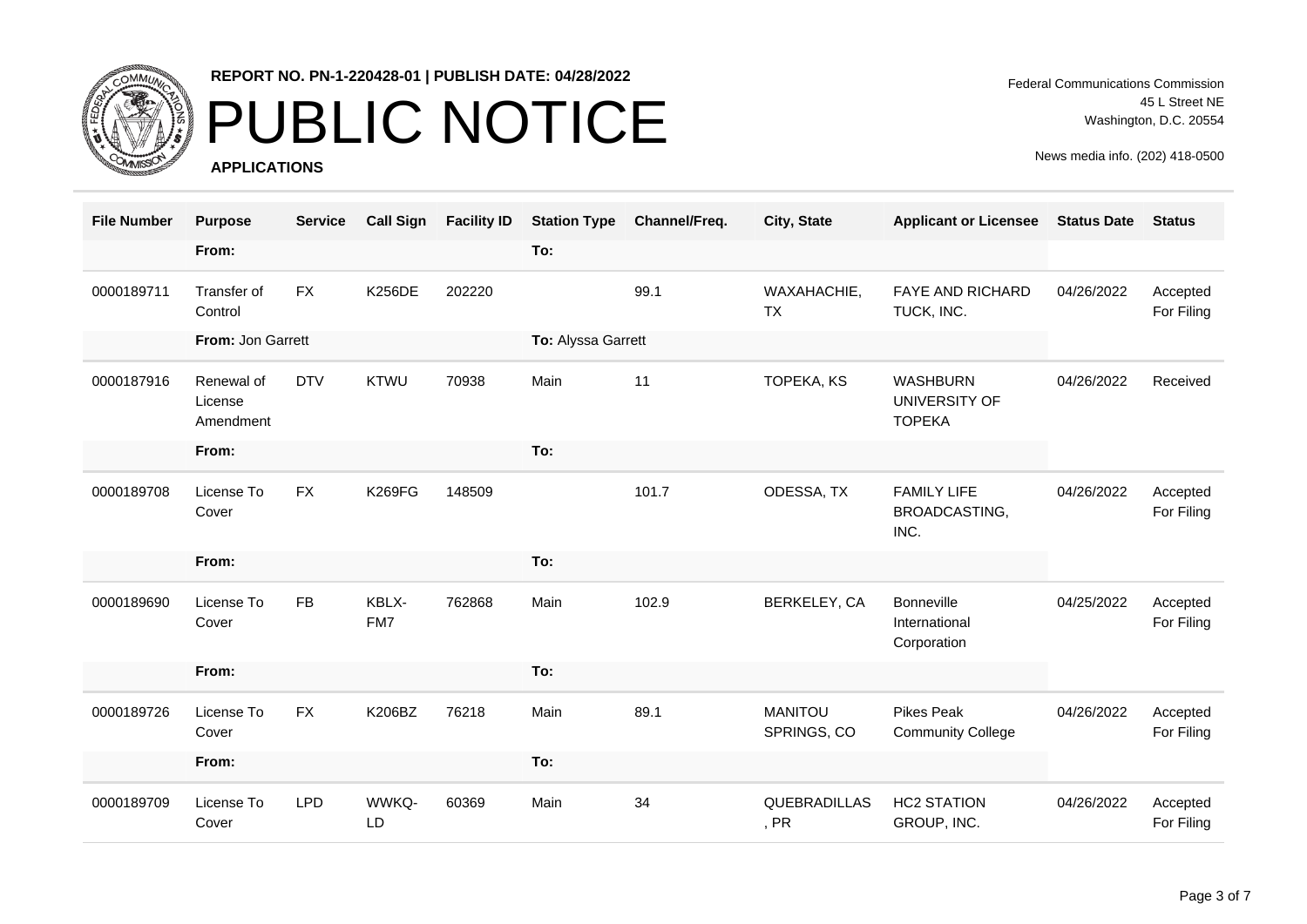

# PUBLIC NOTICE

**APPLICATIONS**

Federal Communications Commission 45 L Street NE Washington, D.C. 20554

| <b>File Number</b> | <b>Purpose</b>                     | <b>Service</b> | <b>Call Sign</b> | <b>Facility ID</b> | <b>Station Type</b> | Channel/Freq. | City, State                   | <b>Applicant or Licensee</b>                      | <b>Status Date</b> | <b>Status</b>          |
|--------------------|------------------------------------|----------------|------------------|--------------------|---------------------|---------------|-------------------------------|---------------------------------------------------|--------------------|------------------------|
|                    | From:                              |                |                  |                    | To:                 |               |                               |                                                   |                    |                        |
| 0000189711         | Transfer of<br>Control             | <b>FX</b>      | <b>K256DE</b>    | 202220             |                     | 99.1          | WAXAHACHIE,<br><b>TX</b>      | FAYE AND RICHARD<br>TUCK, INC.                    | 04/26/2022         | Accepted<br>For Filing |
|                    | From: Jon Garrett                  |                |                  |                    | To: Alyssa Garrett  |               |                               |                                                   |                    |                        |
| 0000187916         | Renewal of<br>License<br>Amendment | <b>DTV</b>     | <b>KTWU</b>      | 70938              | Main                | 11            | TOPEKA, KS                    | <b>WASHBURN</b><br>UNIVERSITY OF<br><b>TOPEKA</b> | 04/26/2022         | Received               |
|                    | From:                              |                |                  |                    | To:                 |               |                               |                                                   |                    |                        |
| 0000189708         | License To<br>Cover                | <b>FX</b>      | <b>K269FG</b>    | 148509             |                     | 101.7         | ODESSA, TX                    | <b>FAMILY LIFE</b><br>BROADCASTING,<br>INC.       | 04/26/2022         | Accepted<br>For Filing |
|                    | From:                              |                |                  |                    | To:                 |               |                               |                                                   |                    |                        |
| 0000189690         | License To<br>Cover                | <b>FB</b>      | KBLX-<br>FM7     | 762868             | Main                | 102.9         | BERKELEY, CA                  | <b>Bonneville</b><br>International<br>Corporation | 04/25/2022         | Accepted<br>For Filing |
|                    | From:                              |                |                  |                    | To:                 |               |                               |                                                   |                    |                        |
| 0000189726         | License To<br>Cover                | <b>FX</b>      | K206BZ           | 76218              | Main                | 89.1          | <b>MANITOU</b><br>SPRINGS, CO | <b>Pikes Peak</b><br><b>Community College</b>     | 04/26/2022         | Accepted<br>For Filing |
|                    | From:                              |                |                  |                    | To:                 |               |                               |                                                   |                    |                        |
| 0000189709         | License To<br>Cover                | <b>LPD</b>     | WWKQ-<br>LD      | 60369              | Main                | 34            | QUEBRADILLAS<br>, PR          | <b>HC2 STATION</b><br>GROUP, INC.                 | 04/26/2022         | Accepted<br>For Filing |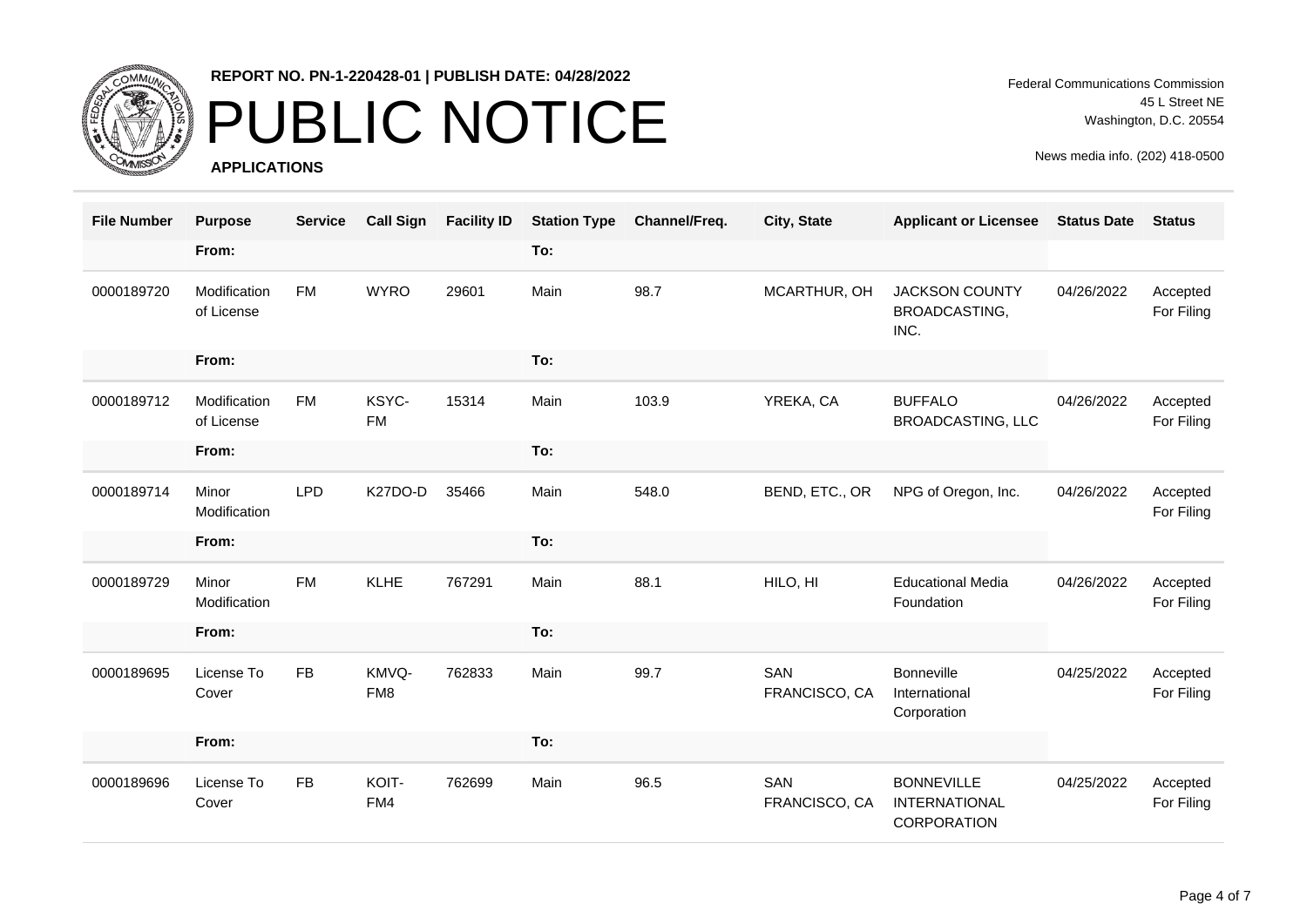

# PUBLIC NOTICE

**APPLICATIONS**

Federal Communications Commission 45 L Street NE Washington, D.C. 20554

| <b>File Number</b> | <b>Purpose</b>             | <b>Service</b> | <b>Call Sign</b>   | <b>Facility ID</b> | <b>Station Type</b> | Channel/Freq. | City, State          | <b>Applicant or Licensee</b>                                    | <b>Status Date</b> | <b>Status</b>          |
|--------------------|----------------------------|----------------|--------------------|--------------------|---------------------|---------------|----------------------|-----------------------------------------------------------------|--------------------|------------------------|
|                    | From:                      |                |                    |                    | To:                 |               |                      |                                                                 |                    |                        |
| 0000189720         | Modification<br>of License | <b>FM</b>      | <b>WYRO</b>        | 29601              | Main                | 98.7          | MCARTHUR, OH         | <b>JACKSON COUNTY</b><br>BROADCASTING,<br>INC.                  | 04/26/2022         | Accepted<br>For Filing |
|                    | From:                      |                |                    |                    | To:                 |               |                      |                                                                 |                    |                        |
| 0000189712         | Modification<br>of License | <b>FM</b>      | KSYC-<br><b>FM</b> | 15314              | Main                | 103.9         | YREKA, CA            | <b>BUFFALO</b><br><b>BROADCASTING, LLC</b>                      | 04/26/2022         | Accepted<br>For Filing |
|                    | From:                      |                |                    |                    | To:                 |               |                      |                                                                 |                    |                        |
| 0000189714         | Minor<br>Modification      | <b>LPD</b>     | K27DO-D            | 35466              | Main                | 548.0         | BEND, ETC., OR       | NPG of Oregon, Inc.                                             | 04/26/2022         | Accepted<br>For Filing |
|                    | From:                      |                |                    |                    | To:                 |               |                      |                                                                 |                    |                        |
| 0000189729         | Minor<br>Modification      | <b>FM</b>      | <b>KLHE</b>        | 767291             | Main                | 88.1          | HILO, HI             | <b>Educational Media</b><br>Foundation                          | 04/26/2022         | Accepted<br>For Filing |
|                    | From:                      |                |                    |                    | To:                 |               |                      |                                                                 |                    |                        |
| 0000189695         | License To<br>Cover        | <b>FB</b>      | KMVQ-<br>FM8       | 762833             | Main                | 99.7          | SAN<br>FRANCISCO, CA | <b>Bonneville</b><br>International<br>Corporation               | 04/25/2022         | Accepted<br>For Filing |
|                    | From:                      |                |                    |                    | To:                 |               |                      |                                                                 |                    |                        |
| 0000189696         | License To<br>Cover        | <b>FB</b>      | KOIT-<br>FM4       | 762699             | Main                | 96.5          | SAN<br>FRANCISCO, CA | <b>BONNEVILLE</b><br><b>INTERNATIONAL</b><br><b>CORPORATION</b> | 04/25/2022         | Accepted<br>For Filing |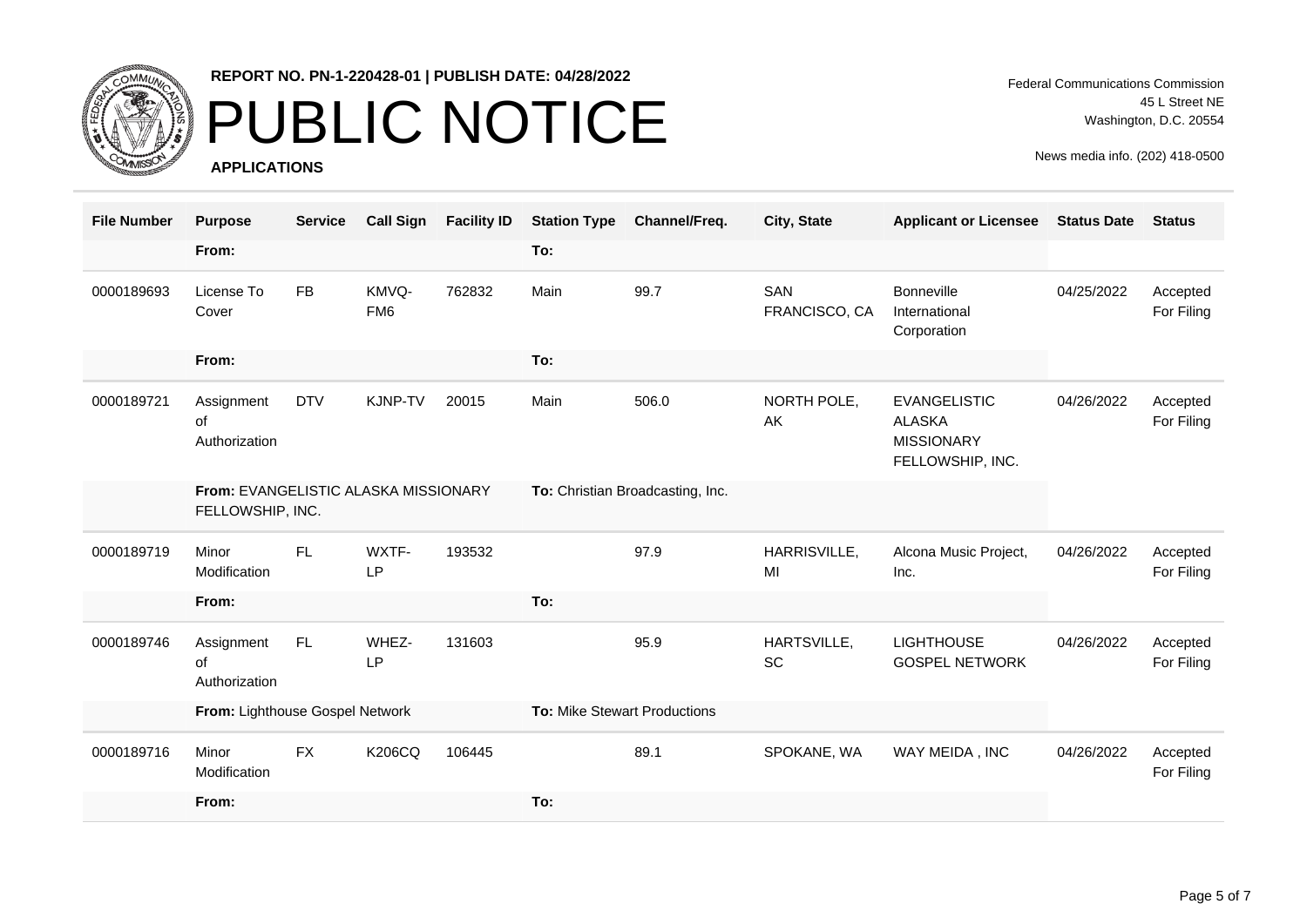

# PUBLIC NOTICE

**APPLICATIONS**

Federal Communications Commission 45 L Street NE Washington, D.C. 20554

| <b>File Number</b> | <b>Purpose</b>                                           | <b>Service</b> | <b>Call Sign</b>         | <b>Facility ID</b> | <b>Station Type</b>          | Channel/Freq.                    | City, State          | <b>Applicant or Licensee</b>                                                  | <b>Status Date</b> | <b>Status</b>          |
|--------------------|----------------------------------------------------------|----------------|--------------------------|--------------------|------------------------------|----------------------------------|----------------------|-------------------------------------------------------------------------------|--------------------|------------------------|
|                    | From:                                                    |                |                          |                    | To:                          |                                  |                      |                                                                               |                    |                        |
| 0000189693         | License To<br>Cover                                      | <b>FB</b>      | KMVQ-<br>FM <sub>6</sub> | 762832             | Main                         | 99.7                             | SAN<br>FRANCISCO, CA | Bonneville<br>International<br>Corporation                                    | 04/25/2022         | Accepted<br>For Filing |
|                    | From:                                                    |                |                          |                    | To:                          |                                  |                      |                                                                               |                    |                        |
| 0000189721         | Assignment<br>of<br>Authorization                        | <b>DTV</b>     | <b>KJNP-TV</b>           | 20015              | Main                         | 506.0                            | NORTH POLE,<br>AK    | <b>EVANGELISTIC</b><br><b>ALASKA</b><br><b>MISSIONARY</b><br>FELLOWSHIP, INC. | 04/26/2022         | Accepted<br>For Filing |
|                    | From: EVANGELISTIC ALASKA MISSIONARY<br>FELLOWSHIP, INC. |                |                          |                    |                              | To: Christian Broadcasting, Inc. |                      |                                                                               |                    |                        |
| 0000189719         | Minor<br>Modification                                    | FL.            | WXTF-<br>LP              | 193532             |                              | 97.9                             | HARRISVILLE,<br>MI   | Alcona Music Project,<br>Inc.                                                 | 04/26/2022         | Accepted<br>For Filing |
|                    | From:                                                    |                |                          |                    | To:                          |                                  |                      |                                                                               |                    |                        |
| 0000189746         | Assignment<br>of<br>Authorization                        | FL.            | WHEZ-<br>LP              | 131603             |                              | 95.9                             | HARTSVILLE,<br>SC    | <b>LIGHTHOUSE</b><br><b>GOSPEL NETWORK</b>                                    | 04/26/2022         | Accepted<br>For Filing |
|                    | From: Lighthouse Gospel Network                          |                |                          |                    | To: Mike Stewart Productions |                                  |                      |                                                                               |                    |                        |
| 0000189716         | Minor<br>Modification                                    | <b>FX</b>      | <b>K206CQ</b>            | 106445             |                              | 89.1                             | SPOKANE, WA          | WAY MEIDA, INC                                                                | 04/26/2022         | Accepted<br>For Filing |
|                    | From:                                                    |                |                          |                    | To:                          |                                  |                      |                                                                               |                    |                        |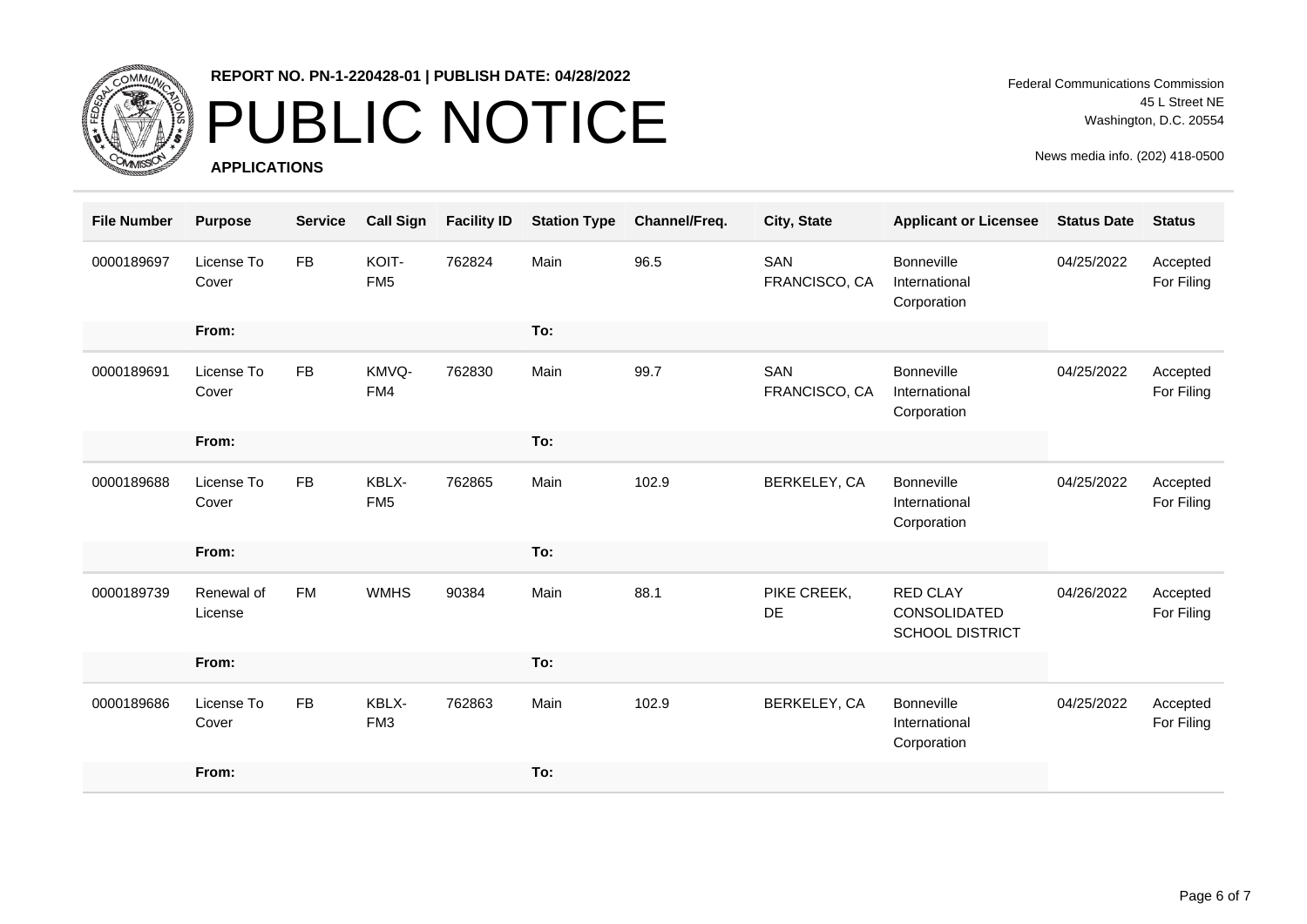

# PUBLIC NOTICE

**APPLICATIONS**

Federal Communications Commission 45 L Street NE Washington, D.C. 20554

| <b>File Number</b> | <b>Purpose</b>        | <b>Service</b> | <b>Call Sign</b>         | <b>Facility ID</b> | <b>Station Type</b> | Channel/Freq. | City, State          | <b>Applicant or Licensee</b>                              | <b>Status Date</b> | <b>Status</b>          |
|--------------------|-----------------------|----------------|--------------------------|--------------------|---------------------|---------------|----------------------|-----------------------------------------------------------|--------------------|------------------------|
| 0000189697         | License To<br>Cover   | <b>FB</b>      | KOIT-<br>FM <sub>5</sub> | 762824             | Main                | 96.5          | SAN<br>FRANCISCO, CA | <b>Bonneville</b><br>International<br>Corporation         | 04/25/2022         | Accepted<br>For Filing |
|                    | From:                 |                |                          |                    | To:                 |               |                      |                                                           |                    |                        |
| 0000189691         | License To<br>Cover   | <b>FB</b>      | KMVQ-<br>FM4             | 762830             | Main                | 99.7          | SAN<br>FRANCISCO, CA | <b>Bonneville</b><br>International<br>Corporation         | 04/25/2022         | Accepted<br>For Filing |
|                    | From:                 |                |                          |                    | To:                 |               |                      |                                                           |                    |                        |
| 0000189688         | License To<br>Cover   | ${\sf FB}$     | KBLX-<br>FM <sub>5</sub> | 762865             | Main                | 102.9         | BERKELEY, CA         | <b>Bonneville</b><br>International<br>Corporation         | 04/25/2022         | Accepted<br>For Filing |
|                    | From:                 |                |                          |                    | To:                 |               |                      |                                                           |                    |                        |
| 0000189739         | Renewal of<br>License | <b>FM</b>      | <b>WMHS</b>              | 90384              | Main                | 88.1          | PIKE CREEK,<br>DE    | <b>RED CLAY</b><br>CONSOLIDATED<br><b>SCHOOL DISTRICT</b> | 04/26/2022         | Accepted<br>For Filing |
|                    | From:                 |                |                          |                    | To:                 |               |                      |                                                           |                    |                        |
| 0000189686         | License To<br>Cover   | <b>FB</b>      | KBLX-<br>FM <sub>3</sub> | 762863             | Main                | 102.9         | BERKELEY, CA         | <b>Bonneville</b><br>International<br>Corporation         | 04/25/2022         | Accepted<br>For Filing |
|                    | From:                 |                |                          |                    | To:                 |               |                      |                                                           |                    |                        |